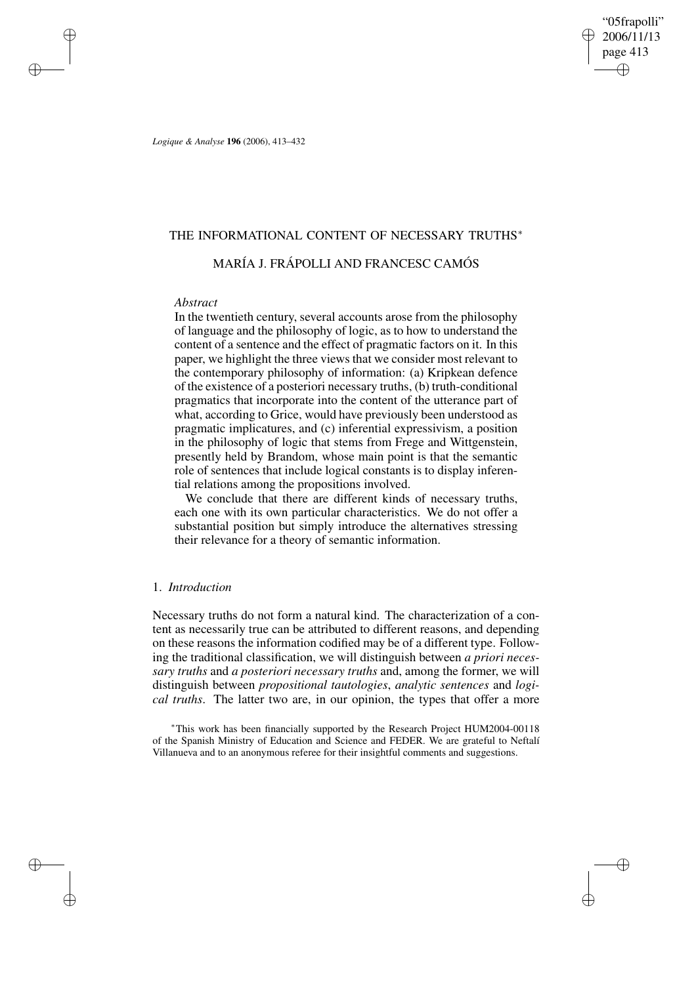"05frapolli" 2006/11/13 page 413 ✐ ✐

✐

✐

*Logique & Analyse* **196** (2006), 413–432

# THE INFORMATIONAL CONTENT OF NECESSARY TRUTHS<sup>\*</sup>

# MARÍA J. FRÁPOLLI AND FRANCESC CAMÓS

## *Abstract*

✐

✐

✐

✐

In the twentieth century, several accounts arose from the philosophy of language and the philosophy of logic, as to how to understand the content of a sentence and the effect of pragmatic factors on it. In this paper, we highlight the three views that we consider most relevant to the contemporary philosophy of information: (a) Kripkean defence of the existence of a posteriori necessary truths, (b) truth-conditional pragmatics that incorporate into the content of the utterance part of what, according to Grice, would have previously been understood as pragmatic implicatures, and (c) inferential expressivism, a position in the philosophy of logic that stems from Frege and Wittgenstein, presently held by Brandom, whose main point is that the semantic role of sentences that include logical constants is to display inferential relations among the propositions involved.

We conclude that there are different kinds of necessary truths, each one with its own particular characteristics. We do not offer a substantial position but simply introduce the alternatives stressing their relevance for a theory of semantic information.

# 1. *Introduction*

Necessary truths do not form a natural kind. The characterization of a content as necessarily true can be attributed to different reasons, and depending on these reasons the information codified may be of a different type. Following the traditional classification, we will distinguish between *a priori necessary truths* and *a posteriori necessary truths* and, among the former, we will distinguish between *propositional tautologies*, *analytic sentences* and *logical truths*. The latter two are, in our opinion, the types that offer a more

<sup>∗</sup>This work has been financially supported by the Research Project HUM2004-00118 of the Spanish Ministry of Education and Science and FEDER. We are grateful to Neftalí Villanueva and to an anonymous referee for their insightful comments and suggestions.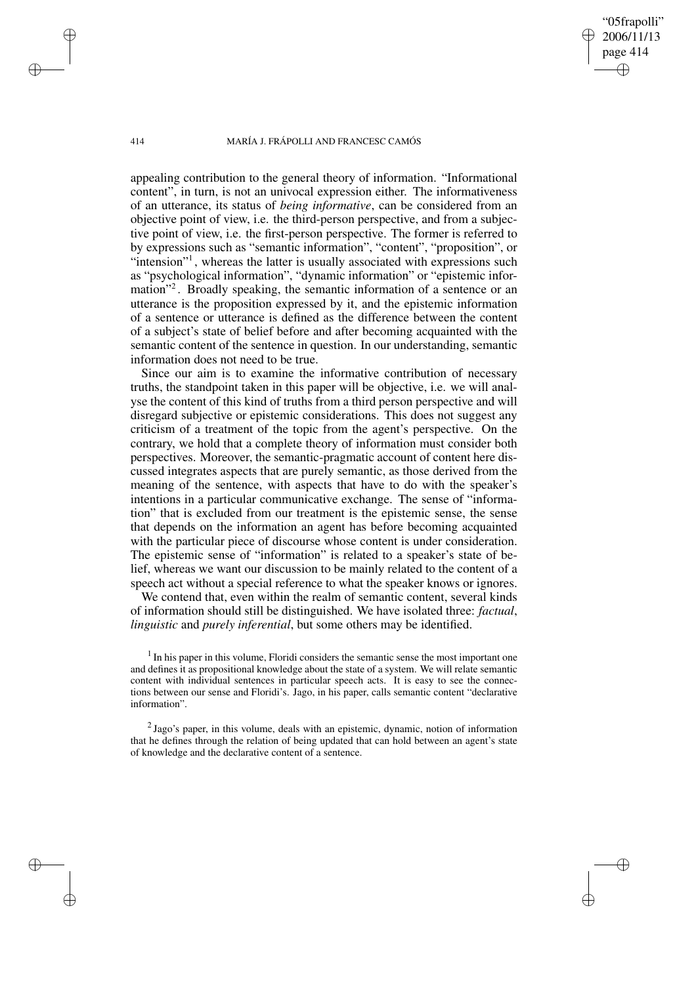"05frapolli" 2006/11/13 page 414

✐

✐

✐

✐

appealing contribution to the general theory of information. "Informational content", in turn, is not an univocal expression either. The informativeness of an utterance, its status of *being informative*, can be considered from an objective point of view, i.e. the third-person perspective, and from a subjective point of view, i.e. the first-person perspective. The former is referred to by expressions such as "semantic information", "content", "proposition", or "intension"<sup>1</sup>, whereas the latter is usually associated with expressions such as "psychological information", "dynamic information" or "epistemic information"<sup>2</sup> . Broadly speaking, the semantic information of a sentence or an utterance is the proposition expressed by it, and the epistemic information of a sentence or utterance is defined as the difference between the content of a subject's state of belief before and after becoming acquainted with the semantic content of the sentence in question. In our understanding, semantic information does not need to be true.

Since our aim is to examine the informative contribution of necessary truths, the standpoint taken in this paper will be objective, i.e. we will analyse the content of this kind of truths from a third person perspective and will disregard subjective or epistemic considerations. This does not suggest any criticism of a treatment of the topic from the agent's perspective. On the contrary, we hold that a complete theory of information must consider both perspectives. Moreover, the semantic-pragmatic account of content here discussed integrates aspects that are purely semantic, as those derived from the meaning of the sentence, with aspects that have to do with the speaker's intentions in a particular communicative exchange. The sense of "information" that is excluded from our treatment is the epistemic sense, the sense that depends on the information an agent has before becoming acquainted with the particular piece of discourse whose content is under consideration. The epistemic sense of "information" is related to a speaker's state of belief, whereas we want our discussion to be mainly related to the content of a speech act without a special reference to what the speaker knows or ignores.

We contend that, even within the realm of semantic content, several kinds of information should still be distinguished. We have isolated three: *factual*, *linguistic* and *purely inferential*, but some others may be identified.

 $<sup>1</sup>$  In his paper in this volume, Floridi considers the semantic sense the most important one</sup> and defines it as propositional knowledge about the state of a system. We will relate semantic content with individual sentences in particular speech acts. It is easy to see the connections between our sense and Floridi's. Jago, in his paper, calls semantic content "declarative information".

 $2$  Jago's paper, in this volume, deals with an epistemic, dynamic, notion of information that he defines through the relation of being updated that can hold between an agent's state of knowledge and the declarative content of a sentence.

✐

✐

✐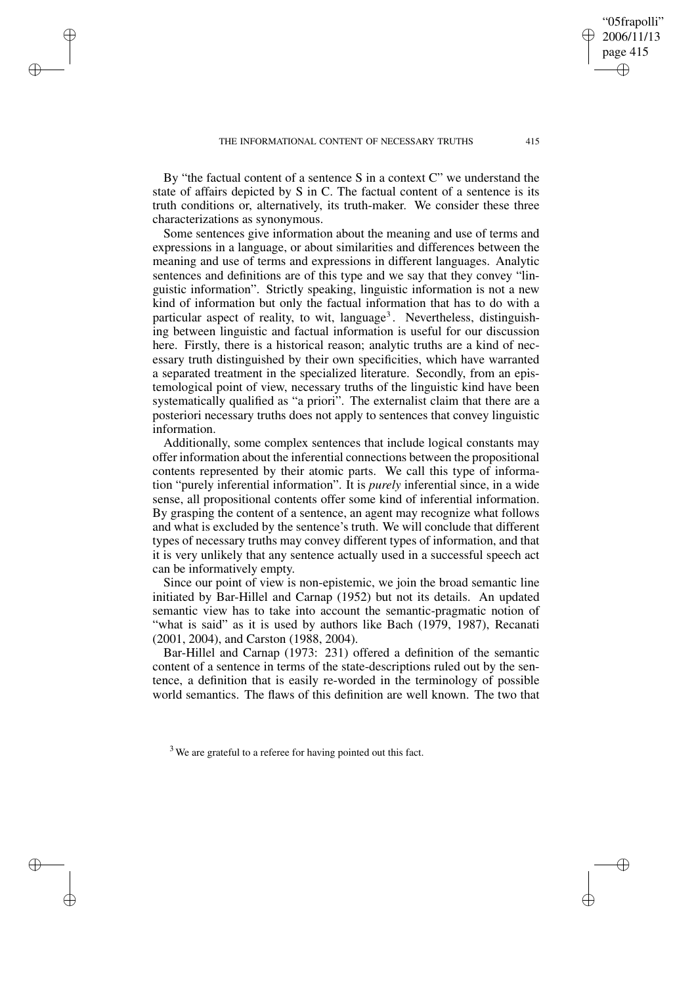✐

✐

✐

By "the factual content of a sentence S in a context C" we understand the state of affairs depicted by S in C. The factual content of a sentence is its truth conditions or, alternatively, its truth-maker. We consider these three characterizations as synonymous.

Some sentences give information about the meaning and use of terms and expressions in a language, or about similarities and differences between the meaning and use of terms and expressions in different languages. Analytic sentences and definitions are of this type and we say that they convey "linguistic information". Strictly speaking, linguistic information is not a new kind of information but only the factual information that has to do with a particular aspect of reality, to wit, language<sup>3</sup>. Nevertheless, distinguishing between linguistic and factual information is useful for our discussion here. Firstly, there is a historical reason; analytic truths are a kind of necessary truth distinguished by their own specificities, which have warranted a separated treatment in the specialized literature. Secondly, from an epistemological point of view, necessary truths of the linguistic kind have been systematically qualified as "a priori". The externalist claim that there are a posteriori necessary truths does not apply to sentences that convey linguistic information.

Additionally, some complex sentences that include logical constants may offer information about the inferential connections between the propositional contents represented by their atomic parts. We call this type of information "purely inferential information". It is *purely* inferential since, in a wide sense, all propositional contents offer some kind of inferential information. By grasping the content of a sentence, an agent may recognize what follows and what is excluded by the sentence's truth. We will conclude that different types of necessary truths may convey different types of information, and that it is very unlikely that any sentence actually used in a successful speech act can be informatively empty.

Since our point of view is non-epistemic, we join the broad semantic line initiated by Bar-Hillel and Carnap (1952) but not its details. An updated semantic view has to take into account the semantic-pragmatic notion of "what is said" as it is used by authors like Bach (1979, 1987), Recanati (2001, 2004), and Carston (1988, 2004).

Bar-Hillel and Carnap (1973: 231) offered a definition of the semantic content of a sentence in terms of the state-descriptions ruled out by the sentence, a definition that is easily re-worded in the terminology of possible world semantics. The flaws of this definition are well known. The two that

"05frapolli" 2006/11/13 page 415

✐

✐

✐

<sup>&</sup>lt;sup>3</sup> We are grateful to a referee for having pointed out this fact.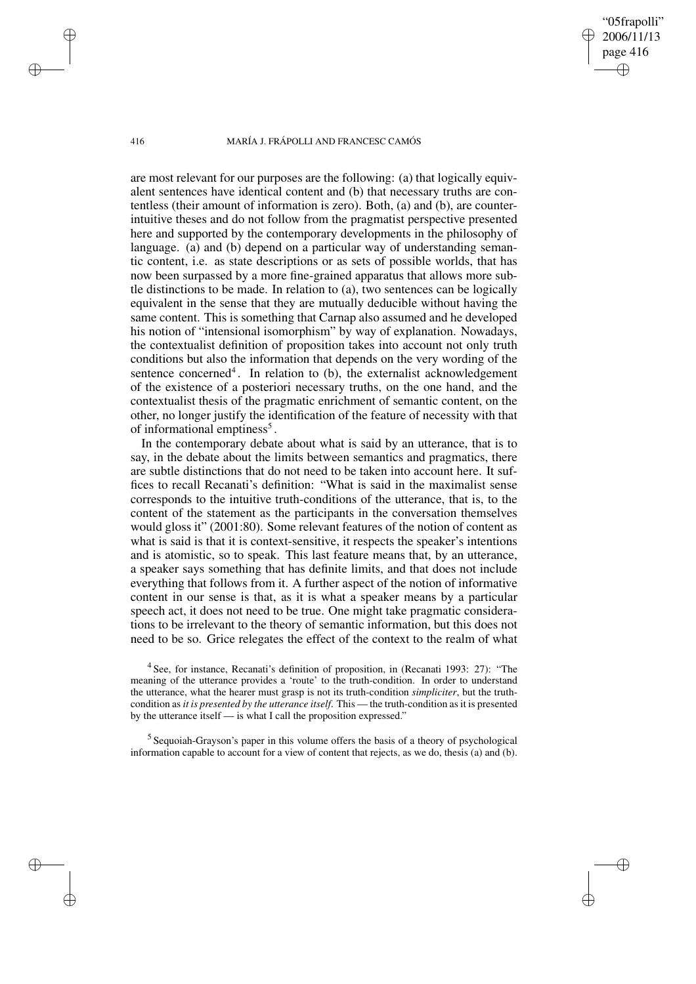"05frapolli" 2006/11/13 page 416

✐

✐

✐

✐

are most relevant for our purposes are the following: (a) that logically equivalent sentences have identical content and (b) that necessary truths are contentless (their amount of information is zero). Both, (a) and (b), are counterintuitive theses and do not follow from the pragmatist perspective presented here and supported by the contemporary developments in the philosophy of language. (a) and (b) depend on a particular way of understanding semantic content, i.e. as state descriptions or as sets of possible worlds, that has now been surpassed by a more fine-grained apparatus that allows more subtle distinctions to be made. In relation to (a), two sentences can be logically equivalent in the sense that they are mutually deducible without having the same content. This is something that Carnap also assumed and he developed his notion of "intensional isomorphism" by way of explanation. Nowadays, the contextualist definition of proposition takes into account not only truth conditions but also the information that depends on the very wording of the sentence concerned<sup>4</sup>. In relation to (b), the externalist acknowledgement of the existence of a posteriori necessary truths, on the one hand, and the contextualist thesis of the pragmatic enrichment of semantic content, on the other, no longer justify the identification of the feature of necessity with that of informational emptiness<sup>5</sup>.

In the contemporary debate about what is said by an utterance, that is to say, in the debate about the limits between semantics and pragmatics, there are subtle distinctions that do not need to be taken into account here. It suffices to recall Recanati's definition: "What is said in the maximalist sense corresponds to the intuitive truth-conditions of the utterance, that is, to the content of the statement as the participants in the conversation themselves would gloss it" (2001:80). Some relevant features of the notion of content as what is said is that it is context-sensitive, it respects the speaker's intentions and is atomistic, so to speak. This last feature means that, by an utterance, a speaker says something that has definite limits, and that does not include everything that follows from it. A further aspect of the notion of informative content in our sense is that, as it is what a speaker means by a particular speech act, it does not need to be true. One might take pragmatic considerations to be irrelevant to the theory of semantic information, but this does not need to be so. Grice relegates the effect of the context to the realm of what

<sup>4</sup> See, for instance, Recanati's definition of proposition, in (Recanati 1993: 27): "The meaning of the utterance provides a 'route' to the truth-condition. In order to understand the utterance, what the hearer must grasp is not its truth-condition *simpliciter*, but the truthcondition as *it is presented by the utterance itself*. This — the truth-condition as it is presented by the utterance itself — is what I call the proposition expressed."

<sup>5</sup> Sequoiah-Grayson's paper in this volume offers the basis of a theory of psychological information capable to account for a view of content that rejects, as we do, thesis (a) and (b).

✐

✐

✐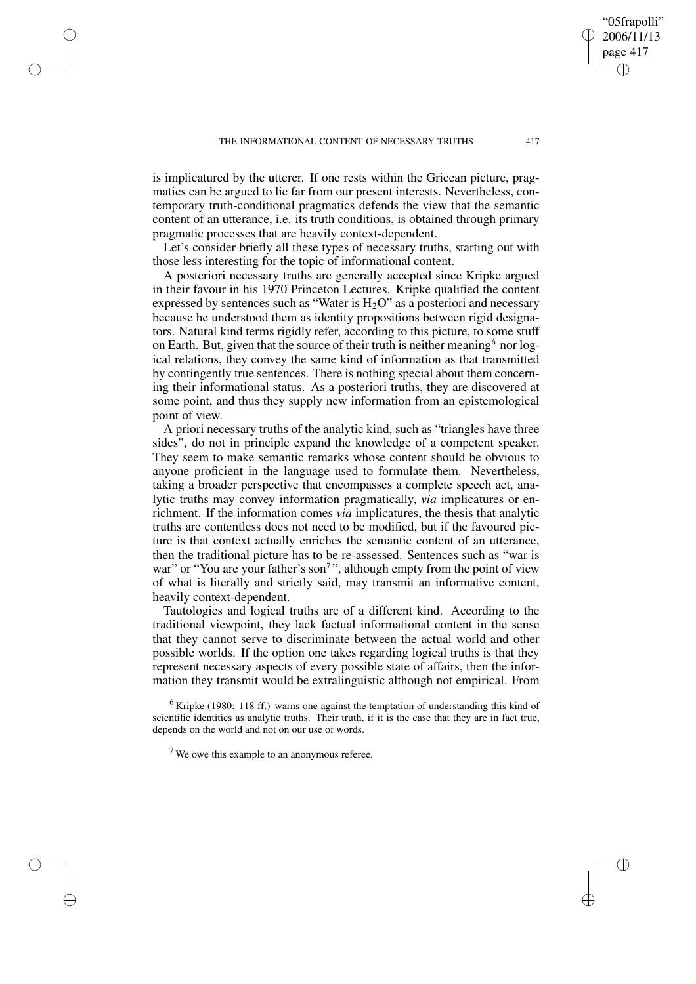✐

✐

✐

is implicatured by the utterer. If one rests within the Gricean picture, pragmatics can be argued to lie far from our present interests. Nevertheless, contemporary truth-conditional pragmatics defends the view that the semantic content of an utterance, i.e. its truth conditions, is obtained through primary pragmatic processes that are heavily context-dependent.

Let's consider briefly all these types of necessary truths, starting out with those less interesting for the topic of informational content.

A posteriori necessary truths are generally accepted since Kripke argued in their favour in his 1970 Princeton Lectures. Kripke qualified the content expressed by sentences such as "Water is  $H_2O$ " as a posteriori and necessary because he understood them as identity propositions between rigid designators. Natural kind terms rigidly refer, according to this picture, to some stuff on Earth. But, given that the source of their truth is neither meaning  $6$  nor logical relations, they convey the same kind of information as that transmitted by contingently true sentences. There is nothing special about them concerning their informational status. As a posteriori truths, they are discovered at some point, and thus they supply new information from an epistemological point of view.

A priori necessary truths of the analytic kind, such as "triangles have three sides", do not in principle expand the knowledge of a competent speaker. They seem to make semantic remarks whose content should be obvious to anyone proficient in the language used to formulate them. Nevertheless, taking a broader perspective that encompasses a complete speech act, analytic truths may convey information pragmatically, *via* implicatures or enrichment. If the information comes *via* implicatures, the thesis that analytic truths are contentless does not need to be modified, but if the favoured picture is that context actually enriches the semantic content of an utterance, then the traditional picture has to be re-assessed. Sentences such as "war is war" or "You are your father's son<sup>7</sup>", although empty from the point of view of what is literally and strictly said, may transmit an informative content, heavily context-dependent.

Tautologies and logical truths are of a different kind. According to the traditional viewpoint, they lack factual informational content in the sense that they cannot serve to discriminate between the actual world and other possible worlds. If the option one takes regarding logical truths is that they represent necessary aspects of every possible state of affairs, then the information they transmit would be extralinguistic although not empirical. From

 $6$  Kripke (1980: 118 ff.) warns one against the temptation of understanding this kind of scientific identities as analytic truths. Their truth, if it is the case that they are in fact true, depends on the world and not on our use of words.

 $<sup>7</sup>$  We owe this example to an anonymous referee.</sup>

"05frapolli" 2006/11/13 page 417

✐

✐

✐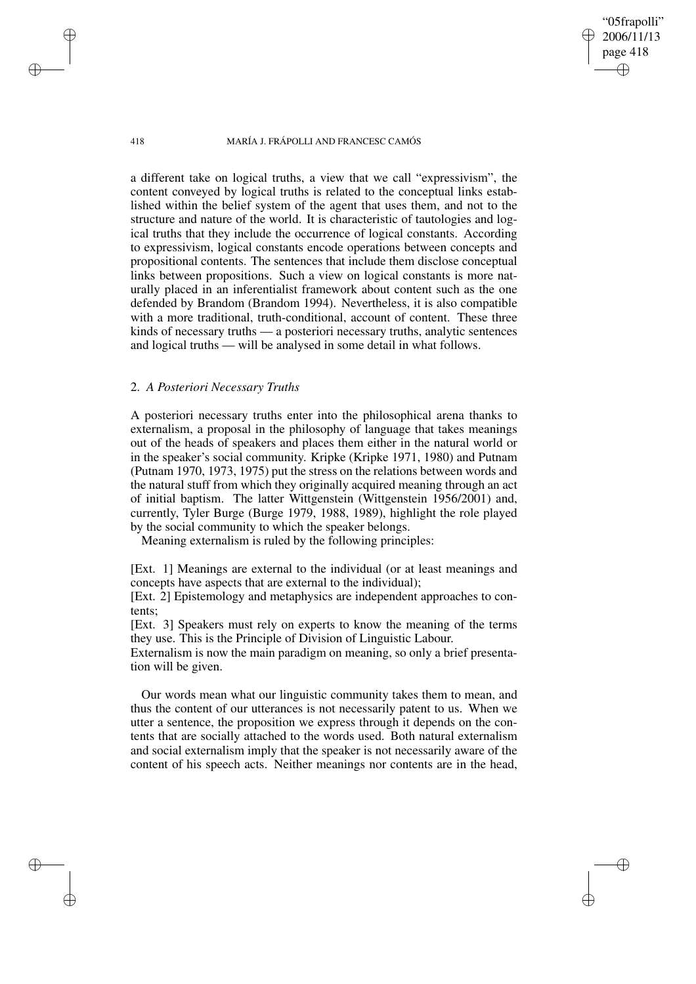"05frapolli" 2006/11/13 page 418

✐

✐

✐

✐

a different take on logical truths, a view that we call "expressivism", the content conveyed by logical truths is related to the conceptual links established within the belief system of the agent that uses them, and not to the structure and nature of the world. It is characteristic of tautologies and logical truths that they include the occurrence of logical constants. According to expressivism, logical constants encode operations between concepts and propositional contents. The sentences that include them disclose conceptual links between propositions. Such a view on logical constants is more naturally placed in an inferentialist framework about content such as the one defended by Brandom (Brandom 1994). Nevertheless, it is also compatible with a more traditional, truth-conditional, account of content. These three kinds of necessary truths — a posteriori necessary truths, analytic sentences and logical truths — will be analysed in some detail in what follows.

# 2. *A Posteriori Necessary Truths*

A posteriori necessary truths enter into the philosophical arena thanks to externalism, a proposal in the philosophy of language that takes meanings out of the heads of speakers and places them either in the natural world or in the speaker's social community. Kripke (Kripke 1971, 1980) and Putnam (Putnam 1970, 1973, 1975) put the stress on the relations between words and the natural stuff from which they originally acquired meaning through an act of initial baptism. The latter Wittgenstein (Wittgenstein 1956/2001) and, currently, Tyler Burge (Burge 1979, 1988, 1989), highlight the role played by the social community to which the speaker belongs.

Meaning externalism is ruled by the following principles:

[Ext. 1] Meanings are external to the individual (or at least meanings and concepts have aspects that are external to the individual);

[Ext. 2] Epistemology and metaphysics are independent approaches to contents;

[Ext. 3] Speakers must rely on experts to know the meaning of the terms they use. This is the Principle of Division of Linguistic Labour.

Externalism is now the main paradigm on meaning, so only a brief presentation will be given.

Our words mean what our linguistic community takes them to mean, and thus the content of our utterances is not necessarily patent to us. When we utter a sentence, the proposition we express through it depends on the contents that are socially attached to the words used. Both natural externalism and social externalism imply that the speaker is not necessarily aware of the content of his speech acts. Neither meanings nor contents are in the head,

✐

✐

✐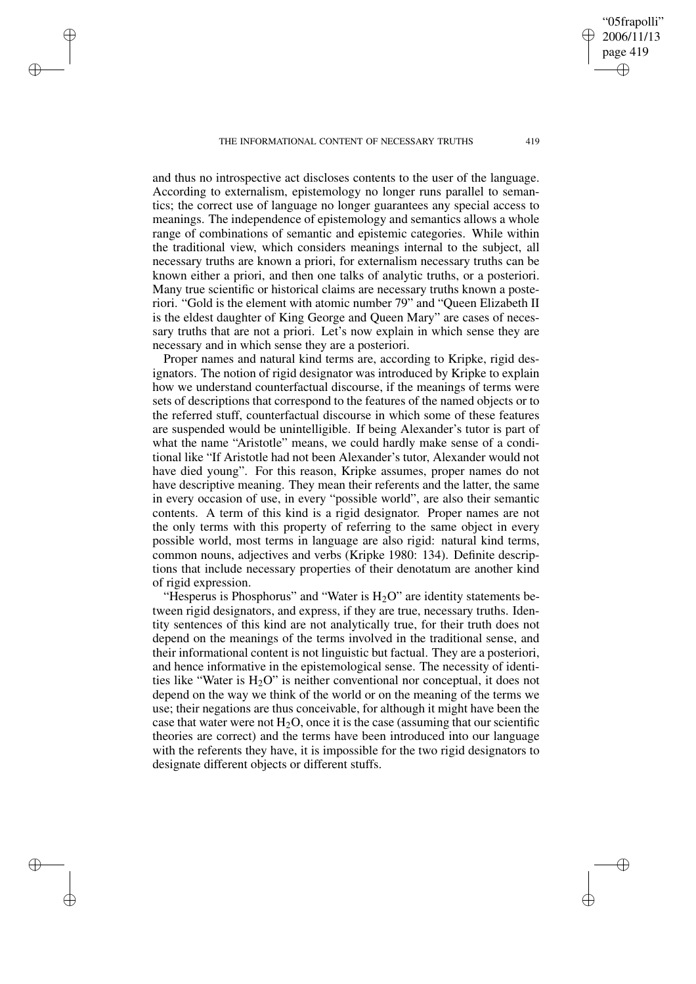THE INFORMATIONAL CONTENT OF NECESSARY TRUTHS 419

✐

✐

✐

✐

and thus no introspective act discloses contents to the user of the language. According to externalism, epistemology no longer runs parallel to semantics; the correct use of language no longer guarantees any special access to meanings. The independence of epistemology and semantics allows a whole range of combinations of semantic and epistemic categories. While within the traditional view, which considers meanings internal to the subject, all necessary truths are known a priori, for externalism necessary truths can be known either a priori, and then one talks of analytic truths, or a posteriori. Many true scientific or historical claims are necessary truths known a posteriori. "Gold is the element with atomic number 79" and "Queen Elizabeth II is the eldest daughter of King George and Queen Mary" are cases of necessary truths that are not a priori. Let's now explain in which sense they are necessary and in which sense they are a posteriori.

Proper names and natural kind terms are, according to Kripke, rigid designators. The notion of rigid designator was introduced by Kripke to explain how we understand counterfactual discourse, if the meanings of terms were sets of descriptions that correspond to the features of the named objects or to the referred stuff, counterfactual discourse in which some of these features are suspended would be unintelligible. If being Alexander's tutor is part of what the name "Aristotle" means, we could hardly make sense of a conditional like "If Aristotle had not been Alexander's tutor, Alexander would not have died young". For this reason, Kripke assumes, proper names do not have descriptive meaning. They mean their referents and the latter, the same in every occasion of use, in every "possible world", are also their semantic contents. A term of this kind is a rigid designator. Proper names are not the only terms with this property of referring to the same object in every possible world, most terms in language are also rigid: natural kind terms, common nouns, adjectives and verbs (Kripke 1980: 134). Definite descriptions that include necessary properties of their denotatum are another kind of rigid expression.

"Hesperus is Phosphorus" and "Water is  $H<sub>2</sub>O$ " are identity statements between rigid designators, and express, if they are true, necessary truths. Identity sentences of this kind are not analytically true, for their truth does not depend on the meanings of the terms involved in the traditional sense, and their informational content is not linguistic but factual. They are a posteriori, and hence informative in the epistemological sense. The necessity of identities like "Water is  $H_2O$ " is neither conventional nor conceptual, it does not depend on the way we think of the world or on the meaning of the terms we use; their negations are thus conceivable, for although it might have been the case that water were not  $H_2O$ , once it is the case (assuming that our scientific theories are correct) and the terms have been introduced into our language with the referents they have, it is impossible for the two rigid designators to designate different objects or different stuffs.

"05frapolli" 2006/11/13 page 419

✐

✐

✐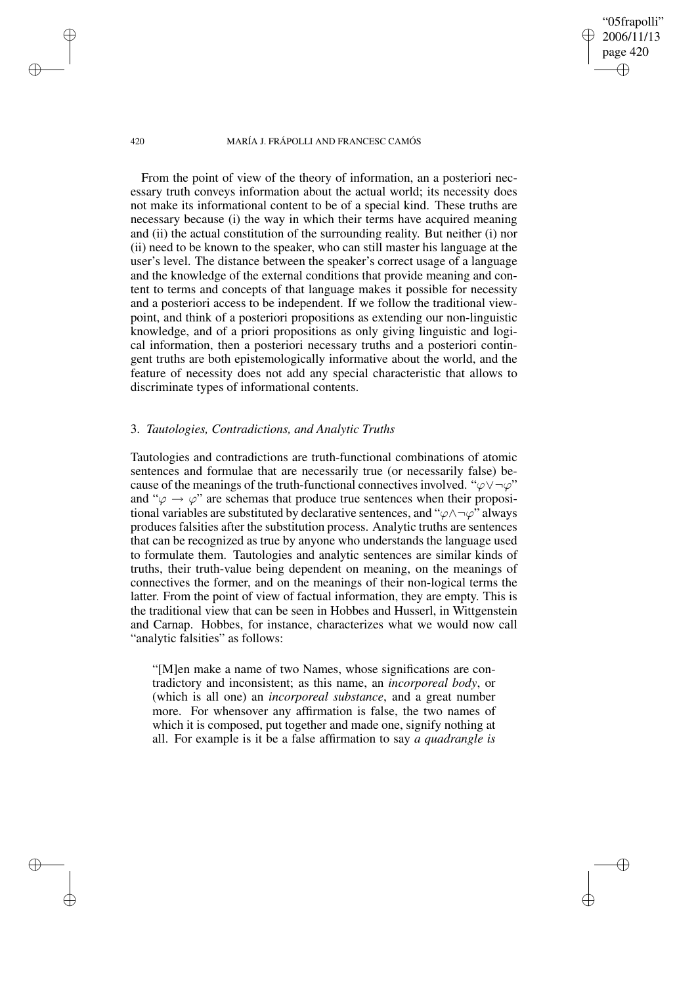"05frapolli" 2006/11/13 page 420

✐

✐

✐

✐

From the point of view of the theory of information, an a posteriori necessary truth conveys information about the actual world; its necessity does not make its informational content to be of a special kind. These truths are necessary because (i) the way in which their terms have acquired meaning and (ii) the actual constitution of the surrounding reality. But neither (i) nor (ii) need to be known to the speaker, who can still master his language at the user's level. The distance between the speaker's correct usage of a language and the knowledge of the external conditions that provide meaning and content to terms and concepts of that language makes it possible for necessity and a posteriori access to be independent. If we follow the traditional viewpoint, and think of a posteriori propositions as extending our non-linguistic knowledge, and of a priori propositions as only giving linguistic and logical information, then a posteriori necessary truths and a posteriori contingent truths are both epistemologically informative about the world, and the feature of necessity does not add any special characteristic that allows to discriminate types of informational contents.

## 3. *Tautologies, Contradictions, and Analytic Truths*

Tautologies and contradictions are truth-functional combinations of atomic sentences and formulae that are necessarily true (or necessarily false) because of the meanings of the truth-functional connectives involved. " $\varphi \vee \neg \varphi$ " and " $\varphi \rightarrow \varphi$ " are schemas that produce true sentences when their propositional variables are substituted by declarative sentences, and " $\varphi \land \neg \varphi$ " always produces falsities after the substitution process. Analytic truths are sentences that can be recognized as true by anyone who understands the language used to formulate them. Tautologies and analytic sentences are similar kinds of truths, their truth-value being dependent on meaning, on the meanings of connectives the former, and on the meanings of their non-logical terms the latter. From the point of view of factual information, they are empty. This is the traditional view that can be seen in Hobbes and Husserl, in Wittgenstein and Carnap. Hobbes, for instance, characterizes what we would now call "analytic falsities" as follows:

"[M]en make a name of two Names, whose significations are contradictory and inconsistent; as this name, an *incorporeal body*, or (which is all one) an *incorporeal substance*, and a great number more. For whensover any affirmation is false, the two names of which it is composed, put together and made one, signify nothing at all. For example is it be a false affirmation to say *a quadrangle is*

✐

✐

✐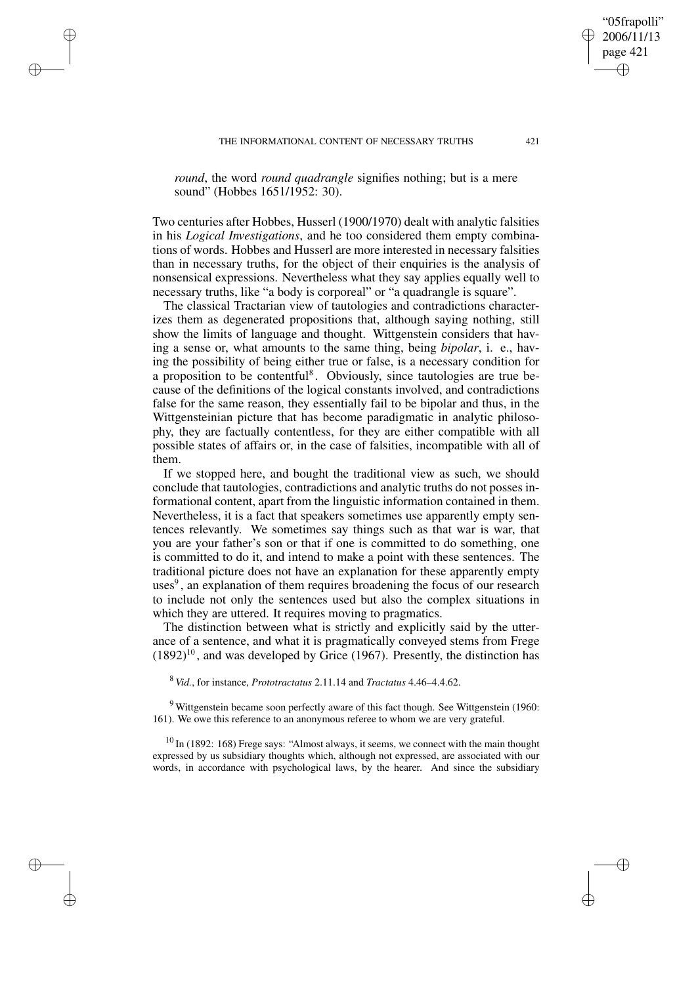✐

✐

✐

*round*, the word *round quadrangle* signifies nothing; but is a mere sound" (Hobbes 1651/1952: 30).

Two centuries after Hobbes, Husserl (1900/1970) dealt with analytic falsities in his *Logical Investigations*, and he too considered them empty combinations of words. Hobbes and Husserl are more interested in necessary falsities than in necessary truths, for the object of their enquiries is the analysis of nonsensical expressions. Nevertheless what they say applies equally well to necessary truths, like "a body is corporeal" or "a quadrangle is square".

The classical Tractarian view of tautologies and contradictions characterizes them as degenerated propositions that, although saying nothing, still show the limits of language and thought. Wittgenstein considers that having a sense or, what amounts to the same thing, being *bipolar*, i. e., having the possibility of being either true or false, is a necessary condition for a proposition to be contentful<sup>8</sup>. Obviously, since tautologies are true because of the definitions of the logical constants involved, and contradictions false for the same reason, they essentially fail to be bipolar and thus, in the Wittgensteinian picture that has become paradigmatic in analytic philosophy, they are factually contentless, for they are either compatible with all possible states of affairs or, in the case of falsities, incompatible with all of them.

If we stopped here, and bought the traditional view as such, we should conclude that tautologies, contradictions and analytic truths do not posses informational content, apart from the linguistic information contained in them. Nevertheless, it is a fact that speakers sometimes use apparently empty sentences relevantly. We sometimes say things such as that war is war, that you are your father's son or that if one is committed to do something, one is committed to do it, and intend to make a point with these sentences. The traditional picture does not have an explanation for these apparently empty uses<sup>9</sup>, an explanation of them requires broadening the focus of our research to include not only the sentences used but also the complex situations in which they are uttered. It requires moving to pragmatics.

The distinction between what is strictly and explicitly said by the utterance of a sentence, and what it is pragmatically conveyed stems from Frege  $(1892)^{10}$ , and was developed by Grice (1967). Presently, the distinction has

<sup>8</sup> *Vid.*, for instance, *Prototractatus* 2.11.14 and *Tractatus* 4.46–4.4.62.

 $9$  Wittgenstein became soon perfectly aware of this fact though. See Wittgenstein (1960: 161). We owe this reference to an anonymous referee to whom we are very grateful.

 $10$  In (1892: 168) Frege says: "Almost always, it seems, we connect with the main thought expressed by us subsidiary thoughts which, although not expressed, are associated with our words, in accordance with psychological laws, by the hearer. And since the subsidiary

✐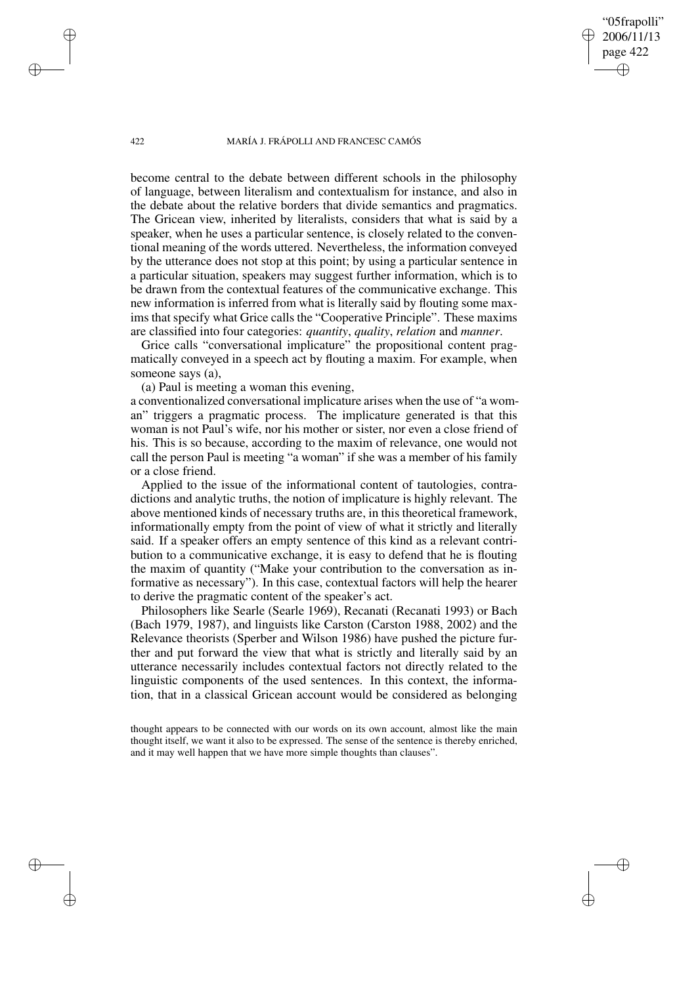"05frapolli" 2006/11/13 page 422

✐

✐

✐

✐

become central to the debate between different schools in the philosophy of language, between literalism and contextualism for instance, and also in the debate about the relative borders that divide semantics and pragmatics. The Gricean view, inherited by literalists, considers that what is said by a speaker, when he uses a particular sentence, is closely related to the conventional meaning of the words uttered. Nevertheless, the information conveyed by the utterance does not stop at this point; by using a particular sentence in a particular situation, speakers may suggest further information, which is to be drawn from the contextual features of the communicative exchange. This new information is inferred from what is literally said by flouting some maxims that specify what Grice calls the "Cooperative Principle". These maxims are classified into four categories: *quantity*, *quality*, *relation* and *manner*.

Grice calls "conversational implicature" the propositional content pragmatically conveyed in a speech act by flouting a maxim. For example, when someone says (a),

(a) Paul is meeting a woman this evening,

a conventionalized conversational implicature arises when the use of "a woman" triggers a pragmatic process. The implicature generated is that this woman is not Paul's wife, nor his mother or sister, nor even a close friend of his. This is so because, according to the maxim of relevance, one would not call the person Paul is meeting "a woman" if she was a member of his family or a close friend.

Applied to the issue of the informational content of tautologies, contradictions and analytic truths, the notion of implicature is highly relevant. The above mentioned kinds of necessary truths are, in this theoretical framework, informationally empty from the point of view of what it strictly and literally said. If a speaker offers an empty sentence of this kind as a relevant contribution to a communicative exchange, it is easy to defend that he is flouting the maxim of quantity ("Make your contribution to the conversation as informative as necessary"). In this case, contextual factors will help the hearer to derive the pragmatic content of the speaker's act.

Philosophers like Searle (Searle 1969), Recanati (Recanati 1993) or Bach (Bach 1979, 1987), and linguists like Carston (Carston 1988, 2002) and the Relevance theorists (Sperber and Wilson 1986) have pushed the picture further and put forward the view that what is strictly and literally said by an utterance necessarily includes contextual factors not directly related to the linguistic components of the used sentences. In this context, the information, that in a classical Gricean account would be considered as belonging

thought appears to be connected with our words on its own account, almost like the main thought itself, we want it also to be expressed. The sense of the sentence is thereby enriched, and it may well happen that we have more simple thoughts than clauses".

✐

✐

✐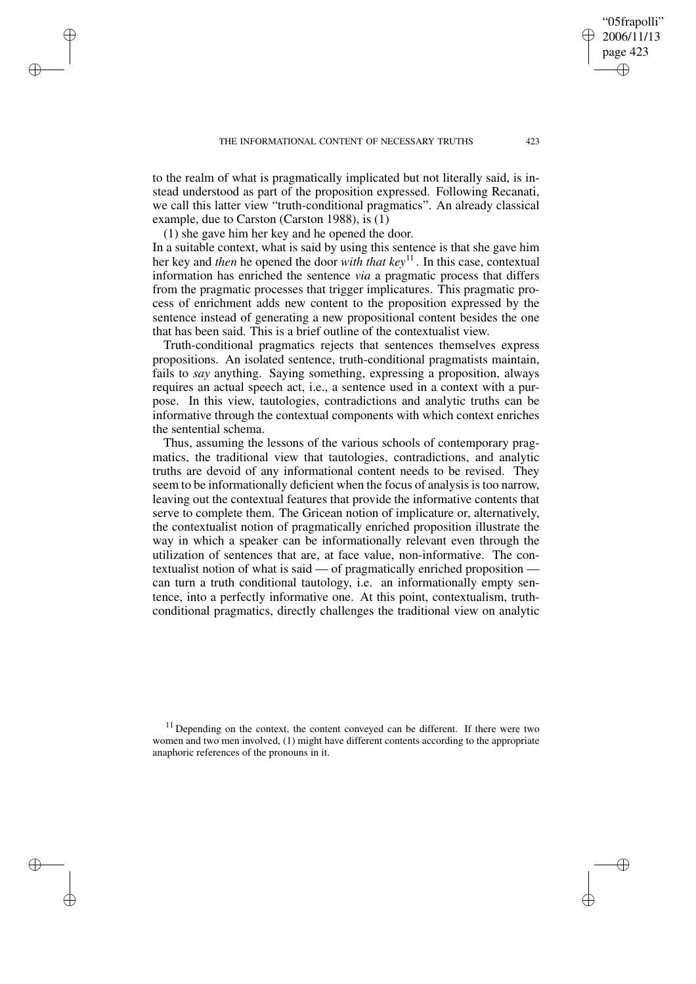to the realm of what is pragmatically implicated but not literally said, is instead understood as part of the proposition expressed. Following Recanati, we call this latter view "truth-conditional pragmatics". An already classical example, due to Carston (Carston 1988), is (1)

(1) she gave him her key and he opened the door.

✐

✐

✐

✐

In a suitable context, what is said by using this sentence is that she gave him her key and *then* he opened the door *with that key* 11 . In this case, contextual information has enriched the sentence *via* a pragmatic process that differs from the pragmatic processes that trigger implicatures. This pragmatic process of enrichment adds new content to the proposition expressed by the sentence instead of generating a new propositional content besides the one that has been said. This is a brief outline of the contextualist view.

Truth-conditional pragmatics rejects that sentences themselves express propositions. An isolated sentence, truth-conditional pragmatists maintain, fails to *say* anything. Saying something, expressing a proposition, always requires an actual speech act, i.e., a sentence used in a context with a purpose. In this view, tautologies, contradictions and analytic truths can be informative through the contextual components with which context enriches the sentential schema.

Thus, assuming the lessons of the various schools of contemporary pragmatics, the traditional view that tautologies, contradictions, and analytic truths are devoid of any informational content needs to be revised. They seem to be informationally deficient when the focus of analysis is too narrow, leaving out the contextual features that provide the informative contents that serve to complete them. The Gricean notion of implicature or, alternatively, the contextualist notion of pragmatically enriched proposition illustrate the way in which a speaker can be informationally relevant even through the utilization of sentences that are, at face value, non-informative. The contextualist notion of what is said — of pragmatically enriched proposition can turn a truth conditional tautology, i.e. an informationally empty sentence, into a perfectly informative one. At this point, contextualism, truthconditional pragmatics, directly challenges the traditional view on analytic

 $11$  Depending on the context, the content conveyed can be different. If there were two women and two men involved, (1) might have different contents according to the appropriate anaphoric references of the pronouns in it.

"05frapolli" 2006/11/13 page 423

✐

✐

✐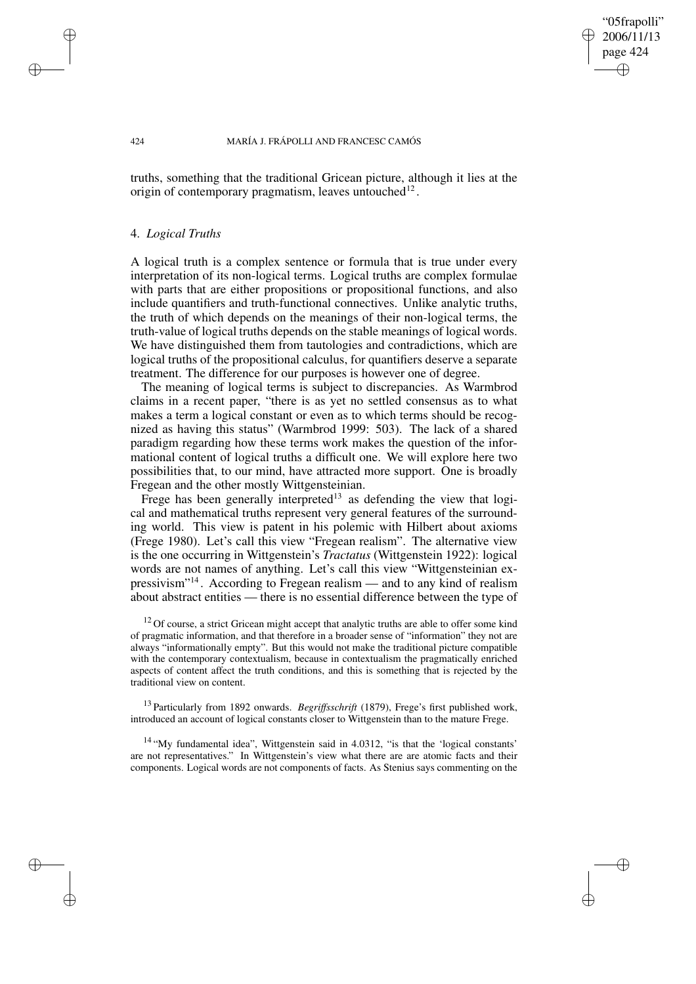## "05frapolli" 2006/11/13 page 424 ✐ ✐

✐

✐

#### 424 MARÍA J. FRÁPOLLI AND FRANCESC CAMÓS

truths, something that the traditional Gricean picture, although it lies at the origin of contemporary pragmatism, leaves untouched $^{12}$ .

## 4. *Logical Truths*

A logical truth is a complex sentence or formula that is true under every interpretation of its non-logical terms. Logical truths are complex formulae with parts that are either propositions or propositional functions, and also include quantifiers and truth-functional connectives. Unlike analytic truths, the truth of which depends on the meanings of their non-logical terms, the truth-value of logical truths depends on the stable meanings of logical words. We have distinguished them from tautologies and contradictions, which are logical truths of the propositional calculus, for quantifiers deserve a separate treatment. The difference for our purposes is however one of degree.

The meaning of logical terms is subject to discrepancies. As Warmbrod claims in a recent paper, "there is as yet no settled consensus as to what makes a term a logical constant or even as to which terms should be recognized as having this status" (Warmbrod 1999: 503). The lack of a shared paradigm regarding how these terms work makes the question of the informational content of logical truths a difficult one. We will explore here two possibilities that, to our mind, have attracted more support. One is broadly Fregean and the other mostly Wittgensteinian.

Frege has been generally interpreted<sup>13</sup> as defending the view that logical and mathematical truths represent very general features of the surrounding world. This view is patent in his polemic with Hilbert about axioms (Frege 1980). Let's call this view "Fregean realism". The alternative view is the one occurring in Wittgenstein's *Tractatus* (Wittgenstein 1922): logical words are not names of anything. Let's call this view "Wittgensteinian expressivism"<sup>14</sup>. According to Fregean realism — and to any kind of realism about abstract entities — there is no essential difference between the type of

 $12$  Of course, a strict Gricean might accept that analytic truths are able to offer some kind of pragmatic information, and that therefore in a broader sense of "information" they not are always "informationally empty". But this would not make the traditional picture compatible with the contemporary contextualism, because in contextualism the pragmatically enriched aspects of content affect the truth conditions, and this is something that is rejected by the traditional view on content.

<sup>13</sup> Particularly from 1892 onwards. *Begriffsschrift* (1879), Frege's first published work, introduced an account of logical constants closer to Wittgenstein than to the mature Frege.

<sup>14</sup> "My fundamental idea", Wittgenstein said in 4.0312, "is that the 'logical constants' are not representatives." In Wittgenstein's view what there are are atomic facts and their components. Logical words are not components of facts. As Stenius says commenting on the

✐

✐

✐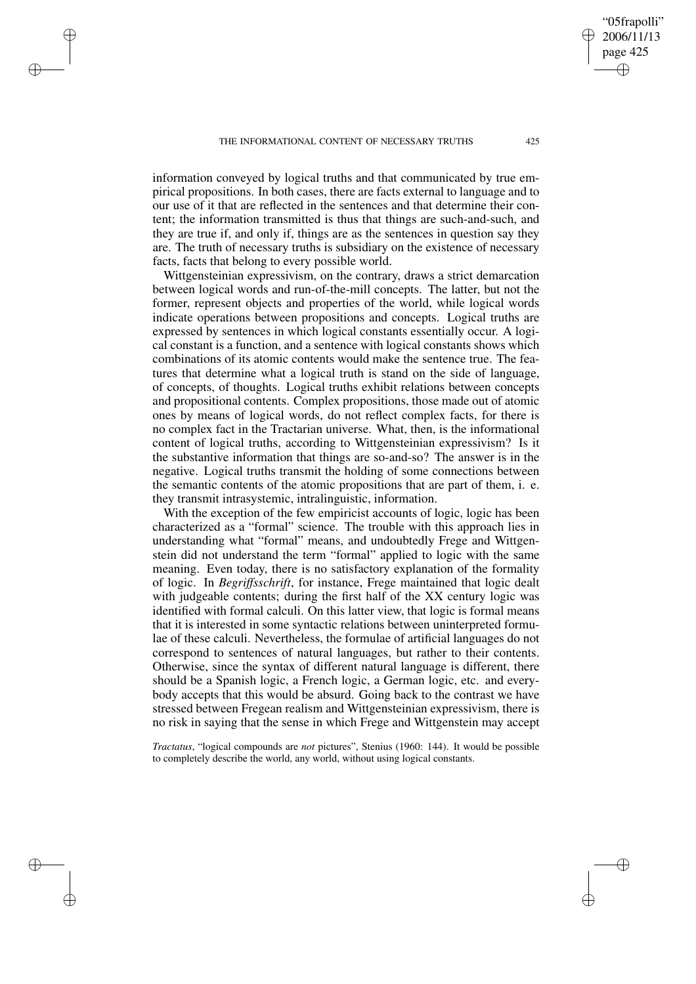✐

✐

✐

information conveyed by logical truths and that communicated by true empirical propositions. In both cases, there are facts external to language and to our use of it that are reflected in the sentences and that determine their content; the information transmitted is thus that things are such-and-such, and they are true if, and only if, things are as the sentences in question say they are. The truth of necessary truths is subsidiary on the existence of necessary facts, facts that belong to every possible world.

Wittgensteinian expressivism, on the contrary, draws a strict demarcation between logical words and run-of-the-mill concepts. The latter, but not the former, represent objects and properties of the world, while logical words indicate operations between propositions and concepts. Logical truths are expressed by sentences in which logical constants essentially occur. A logical constant is a function, and a sentence with logical constants shows which combinations of its atomic contents would make the sentence true. The features that determine what a logical truth is stand on the side of language, of concepts, of thoughts. Logical truths exhibit relations between concepts and propositional contents. Complex propositions, those made out of atomic ones by means of logical words, do not reflect complex facts, for there is no complex fact in the Tractarian universe. What, then, is the informational content of logical truths, according to Wittgensteinian expressivism? Is it the substantive information that things are so-and-so? The answer is in the negative. Logical truths transmit the holding of some connections between the semantic contents of the atomic propositions that are part of them, i. e. they transmit intrasystemic, intralinguistic, information.

With the exception of the few empiricist accounts of logic, logic has been characterized as a "formal" science. The trouble with this approach lies in understanding what "formal" means, and undoubtedly Frege and Wittgenstein did not understand the term "formal" applied to logic with the same meaning. Even today, there is no satisfactory explanation of the formality of logic. In *Begriffsschrift*, for instance, Frege maintained that logic dealt with judgeable contents; during the first half of the XX century logic was identified with formal calculi. On this latter view, that logic is formal means that it is interested in some syntactic relations between uninterpreted formulae of these calculi. Nevertheless, the formulae of artificial languages do not correspond to sentences of natural languages, but rather to their contents. Otherwise, since the syntax of different natural language is different, there should be a Spanish logic, a French logic, a German logic, etc. and everybody accepts that this would be absurd. Going back to the contrast we have stressed between Fregean realism and Wittgensteinian expressivism, there is no risk in saying that the sense in which Frege and Wittgenstein may accept

*Tractatus*, "logical compounds are *not* pictures", Stenius (1960: 144). It would be possible to completely describe the world, any world, without using logical constants.

"05frapolli" 2006/11/13 page 425

✐

✐

✐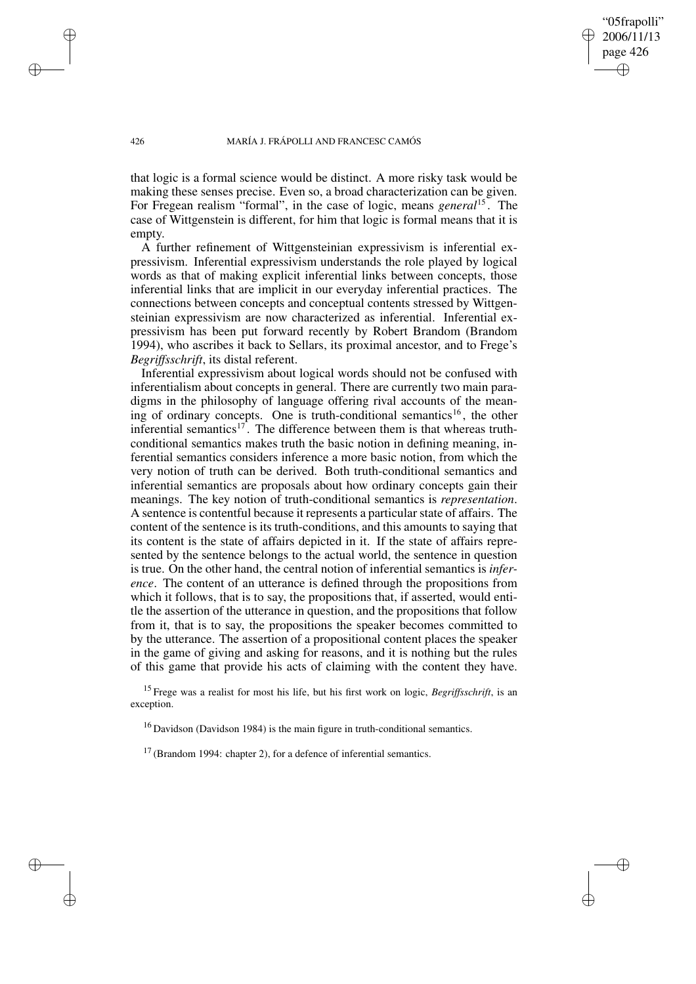"05frapolli" 2006/11/13 page 426 ✐ ✐

✐

✐

#### 426 MARÍA J. FRÁPOLLI AND FRANCESC CAMÓS

that logic is a formal science would be distinct. A more risky task would be making these senses precise. Even so, a broad characterization can be given. For Fregean realism "formal", in the case of logic, means *general*<sup>15</sup> . The case of Wittgenstein is different, for him that logic is formal means that it is empty.

A further refinement of Wittgensteinian expressivism is inferential expressivism. Inferential expressivism understands the role played by logical words as that of making explicit inferential links between concepts, those inferential links that are implicit in our everyday inferential practices. The connections between concepts and conceptual contents stressed by Wittgensteinian expressivism are now characterized as inferential. Inferential expressivism has been put forward recently by Robert Brandom (Brandom 1994), who ascribes it back to Sellars, its proximal ancestor, and to Frege's *Begriffsschrift*, its distal referent.

Inferential expressivism about logical words should not be confused with inferentialism about concepts in general. There are currently two main paradigms in the philosophy of language offering rival accounts of the meaning of ordinary concepts. One is truth-conditional semantics<sup>16</sup>, the other inferential semantics<sup>17</sup>. The difference between them is that whereas truthconditional semantics makes truth the basic notion in defining meaning, inferential semantics considers inference a more basic notion, from which the very notion of truth can be derived. Both truth-conditional semantics and inferential semantics are proposals about how ordinary concepts gain their meanings. The key notion of truth-conditional semantics is *representation*. A sentence is contentful because it represents a particular state of affairs. The content of the sentence is its truth-conditions, and this amounts to saying that its content is the state of affairs depicted in it. If the state of affairs represented by the sentence belongs to the actual world, the sentence in question is true. On the other hand, the central notion of inferential semantics is *inference*. The content of an utterance is defined through the propositions from which it follows, that is to say, the propositions that, if asserted, would entitle the assertion of the utterance in question, and the propositions that follow from it, that is to say, the propositions the speaker becomes committed to by the utterance. The assertion of a propositional content places the speaker in the game of giving and asking for reasons, and it is nothing but the rules of this game that provide his acts of claiming with the content they have.

<sup>15</sup> Frege was a realist for most his life, but his first work on logic, *Begriffsschrift*, is an exception.

 $16$  Davidson (Davidson 1984) is the main figure in truth-conditional semantics.

 $17$  (Brandom 1994: chapter 2), for a defence of inferential semantics.

✐

✐

✐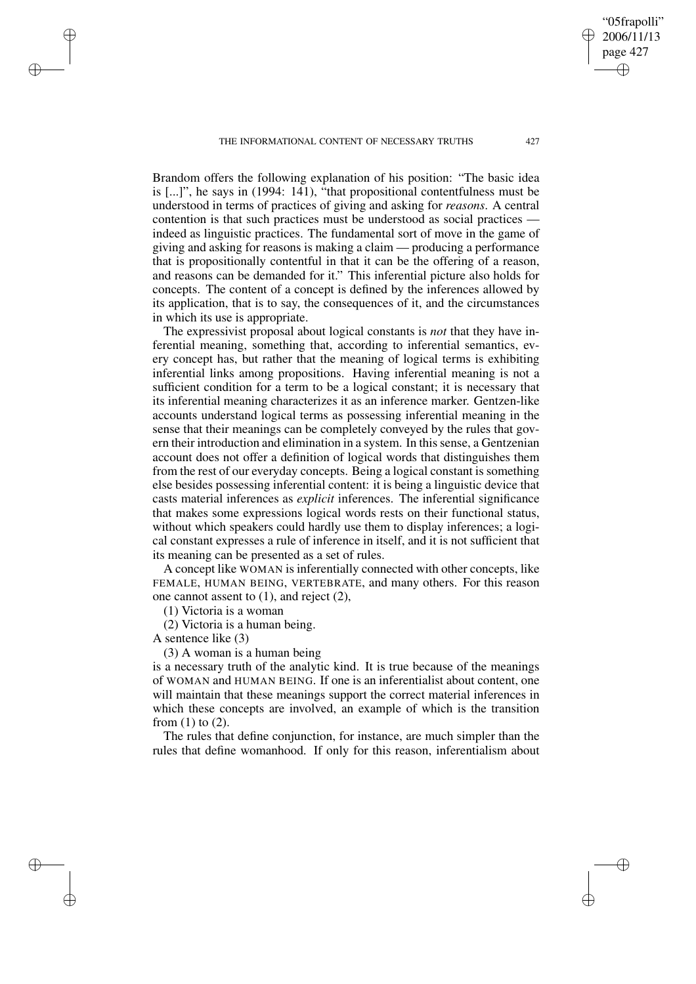THE INFORMATIONAL CONTENT OF NECESSARY TRUTHS 427

Brandom offers the following explanation of his position: "The basic idea is [...]", he says in (1994: 141), "that propositional contentfulness must be understood in terms of practices of giving and asking for *reasons*. A central contention is that such practices must be understood as social practices indeed as linguistic practices. The fundamental sort of move in the game of giving and asking for reasons is making a claim — producing a performance that is propositionally contentful in that it can be the offering of a reason, and reasons can be demanded for it." This inferential picture also holds for concepts. The content of a concept is defined by the inferences allowed by its application, that is to say, the consequences of it, and the circumstances in which its use is appropriate.

The expressivist proposal about logical constants is *not* that they have inferential meaning, something that, according to inferential semantics, every concept has, but rather that the meaning of logical terms is exhibiting inferential links among propositions. Having inferential meaning is not a sufficient condition for a term to be a logical constant; it is necessary that its inferential meaning characterizes it as an inference marker. Gentzen-like accounts understand logical terms as possessing inferential meaning in the sense that their meanings can be completely conveyed by the rules that govern their introduction and elimination in a system. In this sense, a Gentzenian account does not offer a definition of logical words that distinguishes them from the rest of our everyday concepts. Being a logical constant is something else besides possessing inferential content: it is being a linguistic device that casts material inferences as *explicit* inferences. The inferential significance that makes some expressions logical words rests on their functional status, without which speakers could hardly use them to display inferences; a logical constant expresses a rule of inference in itself, and it is not sufficient that its meaning can be presented as a set of rules.

A concept like WOMAN is inferentially connected with other concepts, like FEMALE, HUMAN BEING, VERTEBRATE, and many others. For this reason one cannot assent to (1), and reject (2),

(1) Victoria is a woman

(2) Victoria is a human being.

A sentence like (3)

✐

✐

✐

✐

(3) A woman is a human being

is a necessary truth of the analytic kind. It is true because of the meanings of WOMAN and HUMAN BEING. If one is an inferentialist about content, one will maintain that these meanings support the correct material inferences in which these concepts are involved, an example of which is the transition from  $(1)$  to  $(2)$ .

The rules that define conjunction, for instance, are much simpler than the rules that define womanhood. If only for this reason, inferentialism about

"05frapolli" 2006/11/13 page 427

✐

✐

✐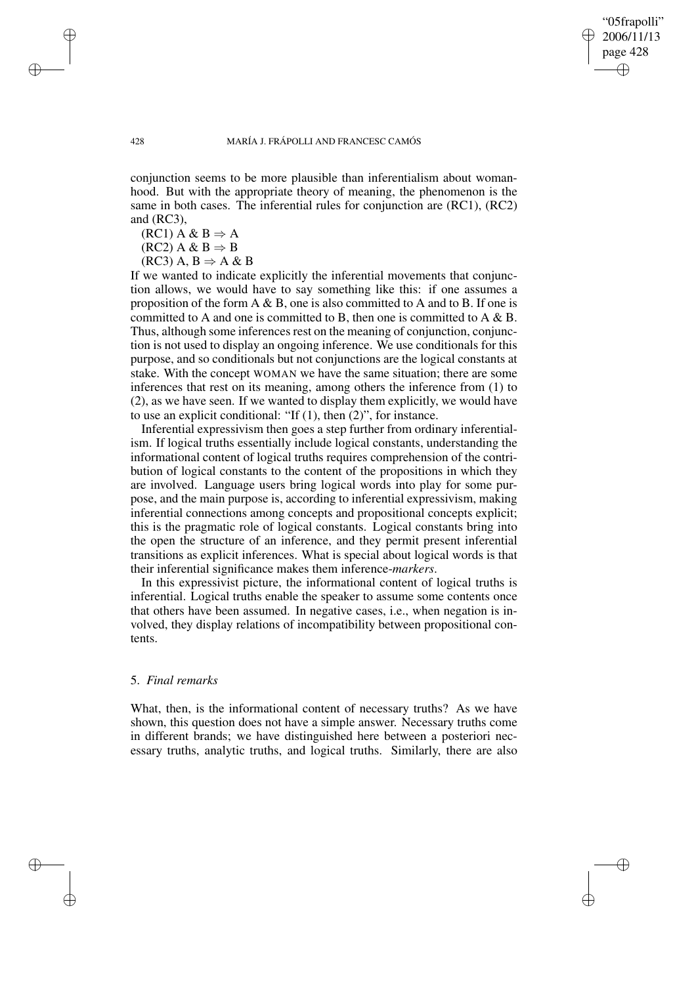✐

#### 428 MARÍA J. FRÁPOLLI AND FRANCESC CAMÓS

conjunction seems to be more plausible than inferentialism about womanhood. But with the appropriate theory of meaning, the phenomenon is the same in both cases. The inferential rules for conjunction are (RC1), (RC2) and (RC3),

 $(RC1)$  A & B  $\Rightarrow$  A

 $(RC2)$  A & B  $\Rightarrow$  B

 $(RC3)$  A, B  $\Rightarrow$  A & B

If we wanted to indicate explicitly the inferential movements that conjunction allows, we would have to say something like this: if one assumes a proposition of the form  $A \& B$ , one is also committed to A and to B. If one is committed to A and one is committed to B, then one is committed to  $A \& B$ . Thus, although some inferences rest on the meaning of conjunction, conjunction is not used to display an ongoing inference. We use conditionals for this purpose, and so conditionals but not conjunctions are the logical constants at stake. With the concept WOMAN we have the same situation; there are some inferences that rest on its meaning, among others the inference from (1) to (2), as we have seen. If we wanted to display them explicitly, we would have to use an explicit conditional: "If (1), then (2)", for instance.

Inferential expressivism then goes a step further from ordinary inferentialism. If logical truths essentially include logical constants, understanding the informational content of logical truths requires comprehension of the contribution of logical constants to the content of the propositions in which they are involved. Language users bring logical words into play for some purpose, and the main purpose is, according to inferential expressivism, making inferential connections among concepts and propositional concepts explicit; this is the pragmatic role of logical constants. Logical constants bring into the open the structure of an inference, and they permit present inferential transitions as explicit inferences. What is special about logical words is that their inferential significance makes them inference-*markers*.

In this expressivist picture, the informational content of logical truths is inferential. Logical truths enable the speaker to assume some contents once that others have been assumed. In negative cases, i.e., when negation is involved, they display relations of incompatibility between propositional contents.

### 5. *Final remarks*

What, then, is the informational content of necessary truths? As we have shown, this question does not have a simple answer. Necessary truths come in different brands; we have distinguished here between a posteriori necessary truths, analytic truths, and logical truths. Similarly, there are also

✐

✐

✐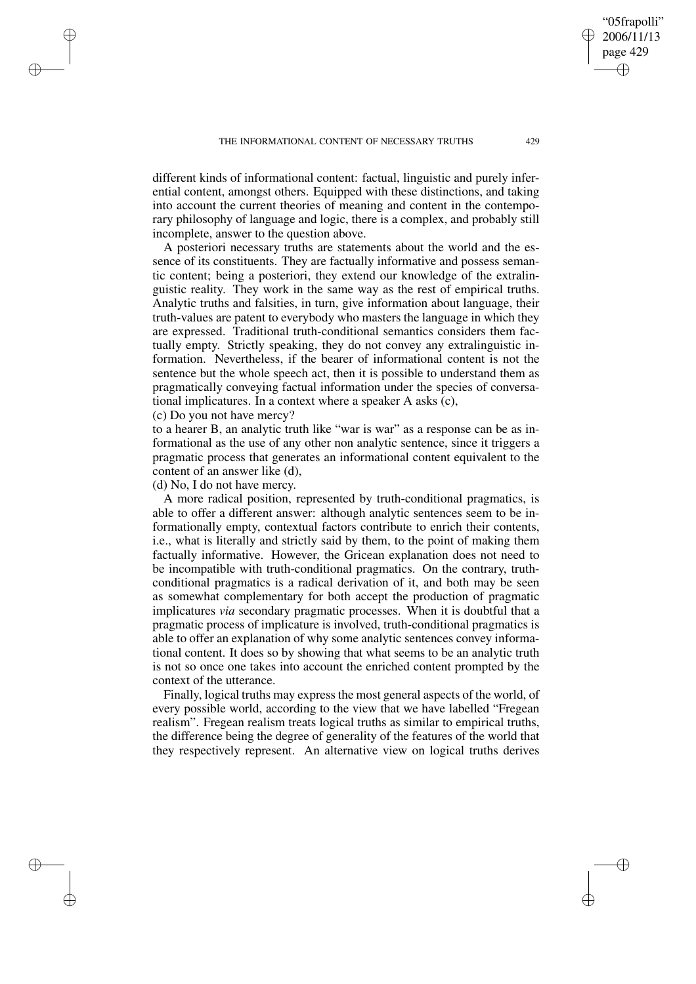different kinds of informational content: factual, linguistic and purely inferential content, amongst others. Equipped with these distinctions, and taking into account the current theories of meaning and content in the contemporary philosophy of language and logic, there is a complex, and probably still incomplete, answer to the question above.

A posteriori necessary truths are statements about the world and the essence of its constituents. They are factually informative and possess semantic content; being a posteriori, they extend our knowledge of the extralinguistic reality. They work in the same way as the rest of empirical truths. Analytic truths and falsities, in turn, give information about language, their truth-values are patent to everybody who masters the language in which they are expressed. Traditional truth-conditional semantics considers them factually empty. Strictly speaking, they do not convey any extralinguistic information. Nevertheless, if the bearer of informational content is not the sentence but the whole speech act, then it is possible to understand them as pragmatically conveying factual information under the species of conversational implicatures. In a context where a speaker A asks (c),

(c) Do you not have mercy?

✐

✐

✐

✐

to a hearer B, an analytic truth like "war is war" as a response can be as informational as the use of any other non analytic sentence, since it triggers a pragmatic process that generates an informational content equivalent to the content of an answer like (d),

(d) No, I do not have mercy.

A more radical position, represented by truth-conditional pragmatics, is able to offer a different answer: although analytic sentences seem to be informationally empty, contextual factors contribute to enrich their contents, i.e., what is literally and strictly said by them, to the point of making them factually informative. However, the Gricean explanation does not need to be incompatible with truth-conditional pragmatics. On the contrary, truthconditional pragmatics is a radical derivation of it, and both may be seen as somewhat complementary for both accept the production of pragmatic implicatures *via* secondary pragmatic processes. When it is doubtful that a pragmatic process of implicature is involved, truth-conditional pragmatics is able to offer an explanation of why some analytic sentences convey informational content. It does so by showing that what seems to be an analytic truth is not so once one takes into account the enriched content prompted by the context of the utterance.

Finally, logical truths may expressthe most general aspects of the world, of every possible world, according to the view that we have labelled "Fregean realism". Fregean realism treats logical truths as similar to empirical truths, the difference being the degree of generality of the features of the world that they respectively represent. An alternative view on logical truths derives

"05frapolli" 2006/11/13 page 429

✐

✐

✐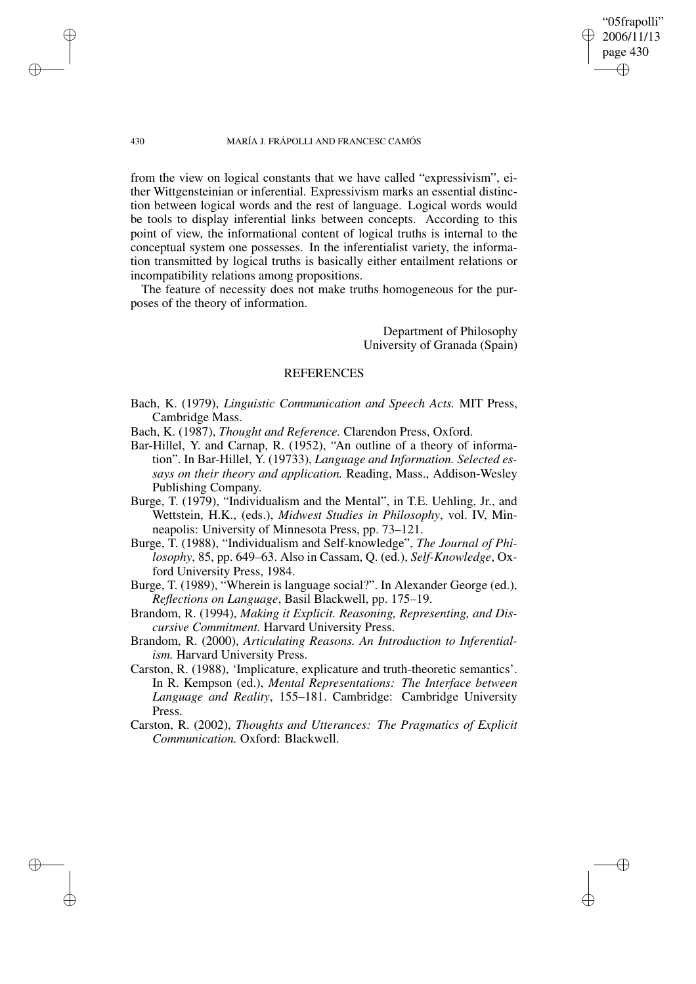from the view on logical constants that we have called "expressivism", either Wittgensteinian or inferential. Expressivism marks an essential distinction between logical words and the rest of language. Logical words would be tools to display inferential links between concepts. According to this point of view, the informational content of logical truths is internal to the conceptual system one possesses. In the inferentialist variety, the information transmitted by logical truths is basically either entailment relations or incompatibility relations among propositions.

The feature of necessity does not make truths homogeneous for the purposes of the theory of information.

> Department of Philosophy University of Granada (Spain)

"05frapolli" 2006/11/13 page 430

✐

✐

✐

✐

# REFERENCES

- Bach, K. (1979), *Linguistic Communication and Speech Acts.* MIT Press, Cambridge Mass.
- Bach, K. (1987), *Thought and Reference.* Clarendon Press, Oxford.
- Bar-Hillel, Y. and Carnap, R. (1952), "An outline of a theory of information". In Bar-Hillel, Y. (19733), *Language and Information. Selected essays on their theory and application.* Reading, Mass., Addison-Wesley Publishing Company.
- Burge, T. (1979), "Individualism and the Mental", in T.E. Uehling, Jr., and Wettstein, H.K., (eds.), *Midwest Studies in Philosophy*, vol. IV, Minneapolis: University of Minnesota Press, pp. 73–121.
- Burge, T. (1988), "Individualism and Self-knowledge", *The Journal of Philosophy*, 85, pp. 649–63. Also in Cassam, Q. (ed.), *Self-Knowledge*, Oxford University Press, 1984.
- Burge, T. (1989), "Wherein is language social?". In Alexander George (ed.), *Reflections on Language*, Basil Blackwell, pp. 175–19.
- Brandom, R. (1994), *Making it Explicit. Reasoning, Representing, and Discursive Commitment.* Harvard University Press.
- Brandom, R. (2000), *Articulating Reasons. An Introduction to Inferentialism.* Harvard University Press.
- Carston, R. (1988), 'Implicature, explicature and truth-theoretic semantics'. In R. Kempson (ed.), *Mental Representations: The Interface between Language and Reality*, 155–181. Cambridge: Cambridge University Press.
- Carston, R. (2002), *Thoughts and Utterances: The Pragmatics of Explicit Communication.* Oxford: Blackwell.

✐

✐

✐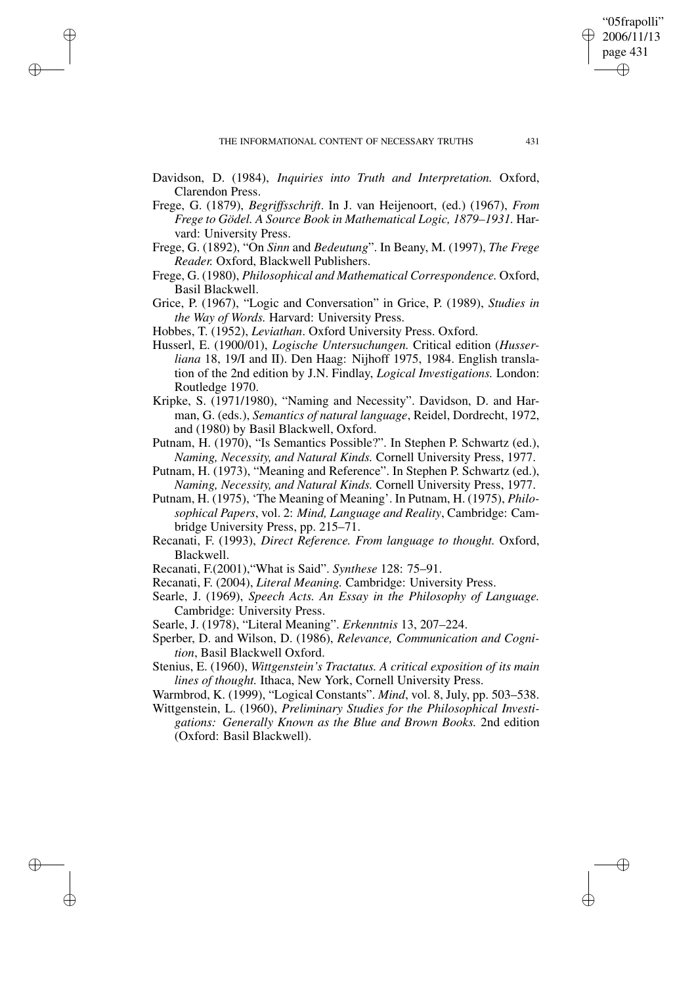✐

✐

✐

✐

✐

Davidson, D. (1984), *Inquiries into Truth and Interpretation.* Oxford, Clarendon Press.

- Frege, G. (1879), *Begriffsschrift*. In J. van Heijenoort, (ed.) (1967), *From Frege to Gödel. A Source Book in Mathematical Logic, 1879–1931.* Harvard: University Press.
- Frege, G. (1892), "On *Sinn* and *Bedeutung*". In Beany, M. (1997), *The Frege Reader.* Oxford, Blackwell Publishers.
- Frege, G. (1980), *Philosophical and Mathematical Correspondence.* Oxford, Basil Blackwell.
- Grice, P. (1967), "Logic and Conversation" in Grice, P. (1989), *Studies in the Way of Words.* Harvard: University Press.
- Hobbes, T. (1952), *Leviathan*. Oxford University Press. Oxford.
- Husserl, E. (1900/01), *Logische Untersuchungen.* Critical edition (*Husserliana* 18, 19/I and II). Den Haag: Nijhoff 1975, 1984. English translation of the 2nd edition by J.N. Findlay, *Logical Investigations.* London: Routledge 1970.
- Kripke, S. (1971/1980), "Naming and Necessity". Davidson, D. and Harman, G. (eds.), *Semantics of natural language*, Reidel, Dordrecht, 1972, and (1980) by Basil Blackwell, Oxford.
- Putnam, H. (1970), "Is Semantics Possible?". In Stephen P. Schwartz (ed.), *Naming, Necessity, and Natural Kinds.* Cornell University Press, 1977.
- Putnam, H. (1973), "Meaning and Reference". In Stephen P. Schwartz (ed.), *Naming, Necessity, and Natural Kinds.* Cornell University Press, 1977.
- Putnam, H. (1975), 'The Meaning of Meaning'. In Putnam, H. (1975), *Philosophical Papers*, vol. 2: *Mind, Language and Reality*, Cambridge: Cambridge University Press, pp. 215–71.
- Recanati, F. (1993), *Direct Reference. From language to thought.* Oxford, Blackwell.
- Recanati, F.(2001),"What is Said". *Synthese* 128: 75–91.
- Recanati, F. (2004), *Literal Meaning.* Cambridge: University Press.
- Searle, J. (1969), *Speech Acts. An Essay in the Philosophy of Language.* Cambridge: University Press.
- Searle, J. (1978), "Literal Meaning". *Erkenntnis* 13, 207–224.
- Sperber, D. and Wilson, D. (1986), *Relevance, Communication and Cognition*, Basil Blackwell Oxford.
- Stenius, E. (1960), *Wittgenstein's Tractatus. A critical exposition of its main lines of thought.* Ithaca, New York, Cornell University Press.

Warmbrod, K. (1999), "Logical Constants". *Mind*, vol. 8, July, pp. 503–538.

Wittgenstein, L. (1960), *Preliminary Studies for the Philosophical Investigations: Generally Known as the Blue and Brown Books.* 2nd edition (Oxford: Basil Blackwell).